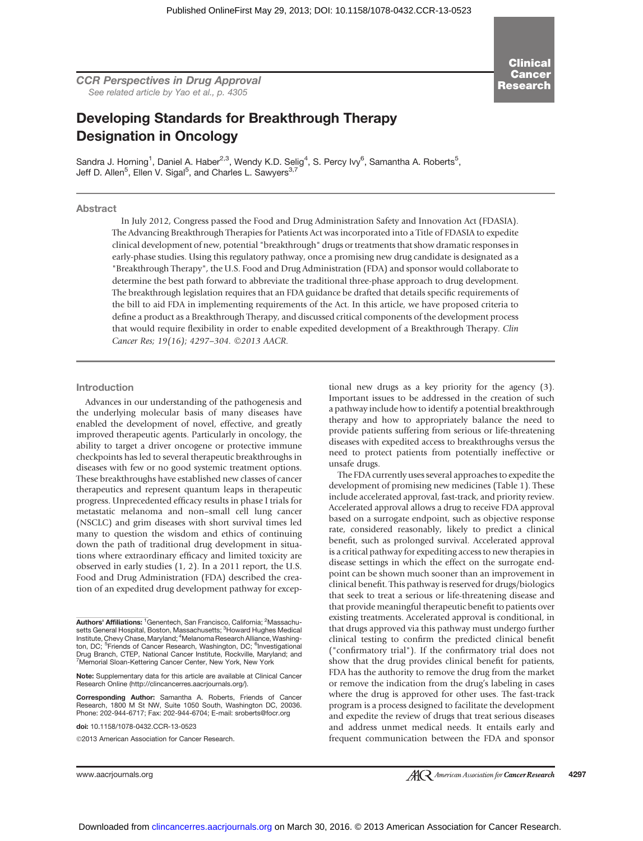See related article by Yao et al., p. 4305

## Developing Standards for Breakthrough Therapy Designation in Oncology

Sandra J. Horning<sup>1</sup>, Daniel A. Haber<sup>2,3</sup>, Wendy K.D. Selig<sup>4</sup>, S. Percy Ivy<sup>6</sup>, Samantha A. Roberts<sup>5</sup>, Jeff D. Allen<sup>5</sup>, Ellen V. Sigal<sup>5</sup>, and Charles L. Sawyers<sup>3,7</sup>

#### Abstract

In July 2012, Congress passed the Food and Drug Administration Safety and Innovation Act (FDASIA). The Advancing Breakthrough Therapies for Patients Act was incorporated into a Title of FDASIA to expedite clinical development of new, potential "breakthrough" drugs or treatments that show dramatic responses in early-phase studies. Using this regulatory pathway, once a promising new drug candidate is designated as a "Breakthrough Therapy", the U.S. Food and Drug Administration (FDA) and sponsor would collaborate to determine the best path forward to abbreviate the traditional three-phase approach to drug development. The breakthrough legislation requires that an FDA guidance be drafted that details specific requirements of the bill to aid FDA in implementing requirements of the Act. In this article, we have proposed criteria to define a product as a Breakthrough Therapy, and discussed critical components of the development process that would require flexibility in order to enable expedited development of a Breakthrough Therapy. Clin Cancer Res; 19(16); 4297-304. 20013 AACR.

#### Introduction

Advances in our understanding of the pathogenesis and the underlying molecular basis of many diseases have enabled the development of novel, effective, and greatly improved therapeutic agents. Particularly in oncology, the ability to target a driver oncogene or protective immune checkpoints has led to several therapeutic breakthroughs in diseases with few or no good systemic treatment options. These breakthroughs have established new classes of cancer therapeutics and represent quantum leaps in therapeutic progress. Unprecedented efficacy results in phase I trials for metastatic melanoma and non–small cell lung cancer (NSCLC) and grim diseases with short survival times led many to question the wisdom and ethics of continuing down the path of traditional drug development in situations where extraordinary efficacy and limited toxicity are observed in early studies (1, 2). In a 2011 report, the U.S. Food and Drug Administration (FDA) described the creation of an expedited drug development pathway for excep-

Authors' Affiliations: <sup>1</sup>Genentech, San Francisco, California; <sup>2</sup>Massachusetts General Hospital, Boston, Massachusetts; <sup>3</sup>Howard Hughes Medical Institute, Chevy Chase, Maryland; <sup>4</sup>Melanoma Research Alliance, Washington, DC; <sup>5</sup>Friends of Cancer Research, Washington, DC; <sup>6</sup>Investigational Drug Branch, CTEP, National Cancer Institute, Rockville, Maryland; and 7 Memorial Sloan-Kettering Cancer Center, New York, New York

Note: Supplementary data for this article are available at Clinical Cancer Research Online (http://clincancerres.aacriournals.org/).

Corresponding Author: Samantha A. Roberts, Friends of Cancer Research, 1800 M St NW, Suite 1050 South, Washington DC, 20036. Phone: 202-944-6717; Fax: 202-944-6704; E-mail: sroberts@focr.org

doi: 10.1158/1078-0432.CCR-13-0523

2013 American Association for Cancer Research.

tional new drugs as a key priority for the agency (3). Important issues to be addressed in the creation of such a pathway include how to identify a potential breakthrough therapy and how to appropriately balance the need to provide patients suffering from serious or life-threatening diseases with expedited access to breakthroughs versus the need to protect patients from potentially ineffective or unsafe drugs.

The FDA currently uses several approaches to expedite the development of promising new medicines (Table 1). These include accelerated approval, fast-track, and priority review. Accelerated approval allows a drug to receive FDA approval based on a surrogate endpoint, such as objective response rate, considered reasonably, likely to predict a clinical benefit, such as prolonged survival. Accelerated approval is a critical pathway for expediting access to new therapies in disease settings in which the effect on the surrogate endpoint can be shown much sooner than an improvement in clinical benefit. This pathway is reserved for drugs/biologics that seek to treat a serious or life-threatening disease and that provide meaningful therapeutic benefit to patients over existing treatments. Accelerated approval is conditional, in that drugs approved via this pathway must undergo further clinical testing to confirm the predicted clinical benefit ("confirmatory trial"). If the confirmatory trial does not show that the drug provides clinical benefit for patients, FDA has the authority to remove the drug from the market or remove the indication from the drug's labeling in cases where the drug is approved for other uses. The fast-track program is a process designed to facilitate the development and expedite the review of drugs that treat serious diseases and address unmet medical needs. It entails early and frequent communication between the FDA and sponsor

www.aacrjournals.org **4297** www.aacriournals.org **4297** and the set of the set of the set of the set of the set of the set of the set of the set of the set of the set of the set of the set of the set of the set of the set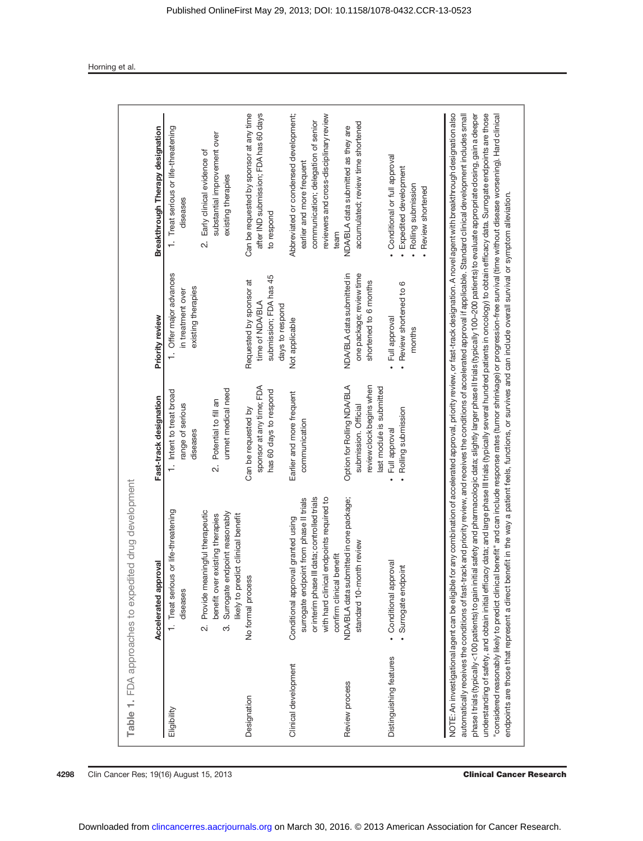| Can be requested by<br>communication<br>diseases<br>2.<br>or interim phase III data; controlled trials<br>with hard clinical endpoints required to<br>phase II trials<br>1. Treat serious or life-threatening<br>Provide meaningful therapeutic<br>Surrogate endpoint reasonably<br>therapies<br>ikely to predict clinical benefit<br>Conditional approval granted using<br>surrogate endpoint from<br>benefit over existing<br>No formal process<br>diseases<br>$\overline{\mathcal{N}}$<br>က်<br>Clinical development<br>Designation<br>Eligibility | 1. Intent to treat broad<br>range of serious                                                               | Priority review                                                                         | Breakthrough Therapy designation                                                                                                                             |
|-------------------------------------------------------------------------------------------------------------------------------------------------------------------------------------------------------------------------------------------------------------------------------------------------------------------------------------------------------------------------------------------------------------------------------------------------------------------------------------------------------------------------------------------------------|------------------------------------------------------------------------------------------------------------|-----------------------------------------------------------------------------------------|--------------------------------------------------------------------------------------------------------------------------------------------------------------|
|                                                                                                                                                                                                                                                                                                                                                                                                                                                                                                                                                       |                                                                                                            | Offer major advances<br>existing therapies<br>in treatment over                         | 1. Treat serious or life-threatening<br>diseases                                                                                                             |
|                                                                                                                                                                                                                                                                                                                                                                                                                                                                                                                                                       | unmet medical need<br>Potential to fill an                                                                 |                                                                                         | substantial improvement over<br>Early clinical evidence of<br>existing therapies<br>$\overline{\mathcal{N}}$                                                 |
|                                                                                                                                                                                                                                                                                                                                                                                                                                                                                                                                                       | sponsor at any time; FDA<br>has 60 days to respond                                                         | submission; FDA has 45<br>Requested by sponsor at<br>time of NDA/BLA<br>days to respond | Can be requested by sponsor at any time<br>after IND submission; FDA has 60 days<br>to respond                                                               |
| confirm clinical benefit                                                                                                                                                                                                                                                                                                                                                                                                                                                                                                                              | Earlier and more frequent                                                                                  | Not applicable                                                                          | Abbreviated or condensed development;<br>reviewers and cross-disciplinary review<br>communication; delegation of senior<br>earlier and more frequent<br>team |
| NDA/BLA data submitted in one package;<br>standard 10-month review<br>Review process                                                                                                                                                                                                                                                                                                                                                                                                                                                                  | Option for Rolling NDA/BLA<br>review clock begins when<br>last module is submitted<br>submission. Official | one package; review time<br>NDA/BLA data submitted in<br>shortened to 6 months          | accumulated; review time shortened<br>NDA/BLA data submitted as they are                                                                                     |
| Full approval<br>Conditional approval<br>Surrogate endpoint<br>Distinguishing features                                                                                                                                                                                                                                                                                                                                                                                                                                                                | Rolling submission                                                                                         | Review shortened to 6<br>Full approval<br>months                                        | Conditional or full approval<br>Expedited development<br>Rolling submission<br>Review shortened                                                              |

4298 Clin Cancer Res; 19(16) August 15, 2013 Clinical Cancer Research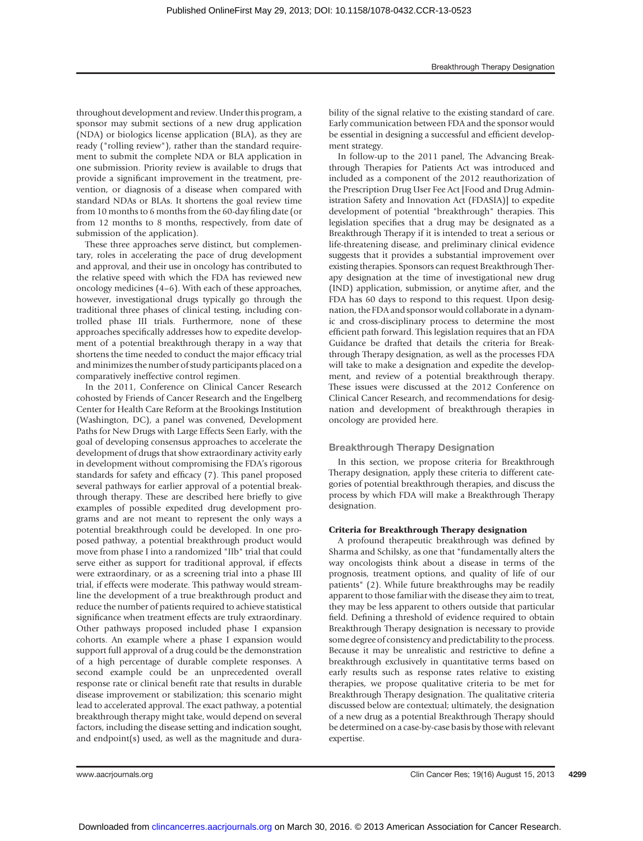throughout development and review. Under this program, a sponsor may submit sections of a new drug application (NDA) or biologics license application (BLA), as they are ready ("rolling review"), rather than the standard requirement to submit the complete NDA or BLA application in one submission. Priority review is available to drugs that provide a significant improvement in the treatment, prevention, or diagnosis of a disease when compared with standard NDAs or BLAs. It shortens the goal review time from 10 months to 6 months from the 60-day filing date (or from 12 months to 8 months, respectively, from date of submission of the application).

These three approaches serve distinct, but complementary, roles in accelerating the pace of drug development and approval, and their use in oncology has contributed to the relative speed with which the FDA has reviewed new oncology medicines (4–6). With each of these approaches, however, investigational drugs typically go through the traditional three phases of clinical testing, including controlled phase III trials. Furthermore, none of these approaches specifically addresses how to expedite development of a potential breakthrough therapy in a way that shortens the time needed to conduct the major efficacy trial and minimizes the number of study participants placed on a comparatively ineffective control regimen.

In the 2011, Conference on Clinical Cancer Research cohosted by Friends of Cancer Research and the Engelberg Center for Health Care Reform at the Brookings Institution (Washington, DC), a panel was convened, Development Paths for New Drugs with Large Effects Seen Early, with the goal of developing consensus approaches to accelerate the development of drugs that show extraordinary activity early in development without compromising the FDA's rigorous standards for safety and efficacy (7). This panel proposed several pathways for earlier approval of a potential breakthrough therapy. These are described here briefly to give examples of possible expedited drug development programs and are not meant to represent the only ways a potential breakthrough could be developed. In one proposed pathway, a potential breakthrough product would move from phase I into a randomized "IIb" trial that could serve either as support for traditional approval, if effects were extraordinary, or as a screening trial into a phase III trial, if effects were moderate. This pathway would streamline the development of a true breakthrough product and reduce the number of patients required to achieve statistical significance when treatment effects are truly extraordinary. Other pathways proposed included phase I expansion cohorts. An example where a phase I expansion would support full approval of a drug could be the demonstration of a high percentage of durable complete responses. A second example could be an unprecedented overall response rate or clinical benefit rate that results in durable disease improvement or stabilization; this scenario might lead to accelerated approval. The exact pathway, a potential breakthrough therapy might take, would depend on several factors, including the disease setting and indication sought, and endpoint(s) used, as well as the magnitude and durability of the signal relative to the existing standard of care. Early communication between FDA and the sponsor would be essential in designing a successful and efficient development strategy.

In follow-up to the 2011 panel, The Advancing Breakthrough Therapies for Patients Act was introduced and included as a component of the 2012 reauthorization of the Prescription Drug User Fee Act [Food and Drug Administration Safety and Innovation Act (FDASIA)] to expedite development of potential "breakthrough" therapies. This legislation specifies that a drug may be designated as a Breakthrough Therapy if it is intended to treat a serious or life-threatening disease, and preliminary clinical evidence suggests that it provides a substantial improvement over existing therapies. Sponsors can request Breakthrough Therapy designation at the time of investigational new drug (IND) application, submission, or anytime after, and the FDA has 60 days to respond to this request. Upon designation, the FDA and sponsor would collaborate in a dynamic and cross-disciplinary process to determine the most efficient path forward. This legislation requires that an FDA Guidance be drafted that details the criteria for Breakthrough Therapy designation, as well as the processes FDA will take to make a designation and expedite the development, and review of a potential breakthrough therapy. These issues were discussed at the 2012 Conference on Clinical Cancer Research, and recommendations for designation and development of breakthrough therapies in oncology are provided here.

#### Breakthrough Therapy Designation

In this section, we propose criteria for Breakthrough Therapy designation, apply these criteria to different categories of potential breakthrough therapies, and discuss the process by which FDA will make a Breakthrough Therapy designation.

#### Criteria for Breakthrough Therapy designation

A profound therapeutic breakthrough was defined by Sharma and Schilsky, as one that "fundamentally alters the way oncologists think about a disease in terms of the prognosis, treatment options, and quality of life of our patients" (2). While future breakthroughs may be readily apparent to those familiar with the disease they aim to treat, they may be less apparent to others outside that particular field. Defining a threshold of evidence required to obtain Breakthrough Therapy designation is necessary to provide some degree of consistency and predictability to the process. Because it may be unrealistic and restrictive to define a breakthrough exclusively in quantitative terms based on early results such as response rates relative to existing therapies, we propose qualitative criteria to be met for Breakthrough Therapy designation. The qualitative criteria discussed below are contextual; ultimately, the designation of a new drug as a potential Breakthrough Therapy should be determined on a case-by-case basis by those with relevant expertise.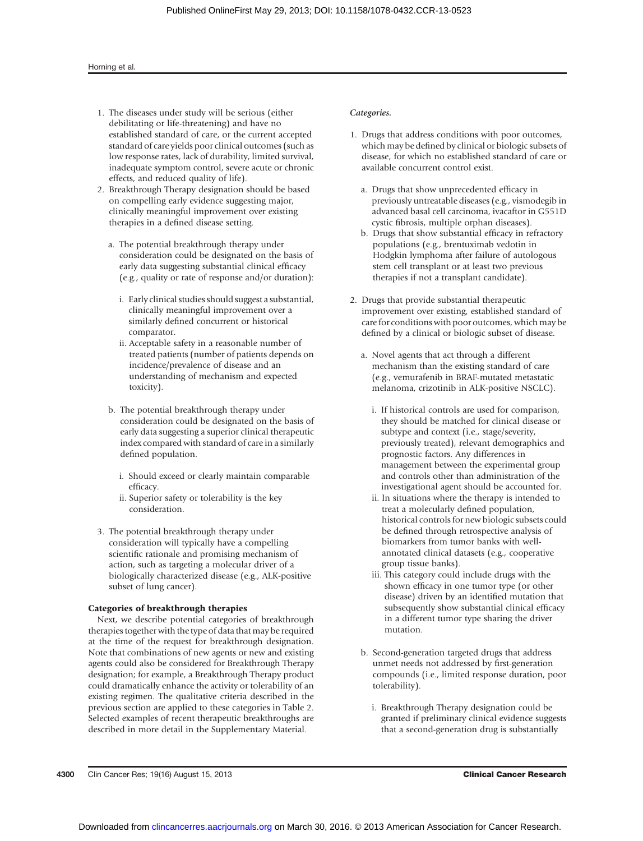- 1. The diseases under study will be serious (either debilitating or life-threatening) and have no established standard of care, or the current accepted standard of care yields poor clinical outcomes (such as low response rates, lack of durability, limited survival, inadequate symptom control, severe acute or chronic effects, and reduced quality of life).
- 2. Breakthrough Therapy designation should be based on compelling early evidence suggesting major, clinically meaningful improvement over existing therapies in a defined disease setting.
	- a. The potential breakthrough therapy under consideration could be designated on the basis of early data suggesting substantial clinical efficacy (e.g., quality or rate of response and/or duration):
		- i. Early clinical studies should suggest a substantial, clinically meaningful improvement over a similarly defined concurrent or historical comparator.
		- ii. Acceptable safety in a reasonable number of treated patients (number of patients depends on incidence/prevalence of disease and an understanding of mechanism and expected toxicity).
	- b. The potential breakthrough therapy under consideration could be designated on the basis of early data suggesting a superior clinical therapeutic index compared with standard of care in a similarly defined population.
		- i. Should exceed or clearly maintain comparable efficacy.
		- ii. Superior safety or tolerability is the key consideration.
- 3. The potential breakthrough therapy under consideration will typically have a compelling scientific rationale and promising mechanism of action, such as targeting a molecular driver of a biologically characterized disease (e.g., ALK-positive subset of lung cancer).

#### Categories of breakthrough therapies

Next, we describe potential categories of breakthrough therapies together with the type of data that may be required at the time of the request for breakthrough designation. Note that combinations of new agents or new and existing agents could also be considered for Breakthrough Therapy designation; for example, a Breakthrough Therapy product could dramatically enhance the activity or tolerability of an existing regimen. The qualitative criteria described in the previous section are applied to these categories in Table 2. Selected examples of recent therapeutic breakthroughs are described in more detail in the Supplementary Material.

## $\sim$

- 1. Drugs that address conditions with poor outcomes, which may be defined by clinical or biologic subsets of disease, for which no established standard of care or available concurrent control exist.
	- a. Drugs that show unprecedented efficacy in previously untreatable diseases (e.g., vismodegib in advanced basal cell carcinoma, ivacaftor in G551D cystic fibrosis, multiple orphan diseases).
	- b. Drugs that show substantial efficacy in refractory populations (e.g., brentuximab vedotin in Hodgkin lymphoma after failure of autologous stem cell transplant or at least two previous therapies if not a transplant candidate).
- 2. Drugs that provide substantial therapeutic improvement over existing, established standard of care for conditions with poor outcomes, which may be defined by a clinical or biologic subset of disease.
	- a. Novel agents that act through a different mechanism than the existing standard of care (e.g., vemurafenib in BRAF-mutated metastatic melanoma, crizotinib in ALK-positive NSCLC).
		- i. If historical controls are used for comparison, they should be matched for clinical disease or subtype and context (i.e., stage/severity, previously treated), relevant demographics and prognostic factors. Any differences in management between the experimental group and controls other than administration of the investigational agent should be accounted for.
		- ii. In situations where the therapy is intended to treat a molecularly defined population, historical controls for new biologic subsets could be defined through retrospective analysis of biomarkers from tumor banks with wellannotated clinical datasets (e.g., cooperative group tissue banks).
		- iii. This category could include drugs with the shown efficacy in one tumor type (or other disease) driven by an identified mutation that subsequently show substantial clinical efficacy in a different tumor type sharing the driver mutation.
	- b. Second-generation targeted drugs that address unmet needs not addressed by first-generation compounds (i.e., limited response duration, poor tolerability).
		- i. Breakthrough Therapy designation could be granted if preliminary clinical evidence suggests that a second-generation drug is substantially

4300 Clin Cancer Res; 19(16) August 15, 2013 Clinical Cancer Research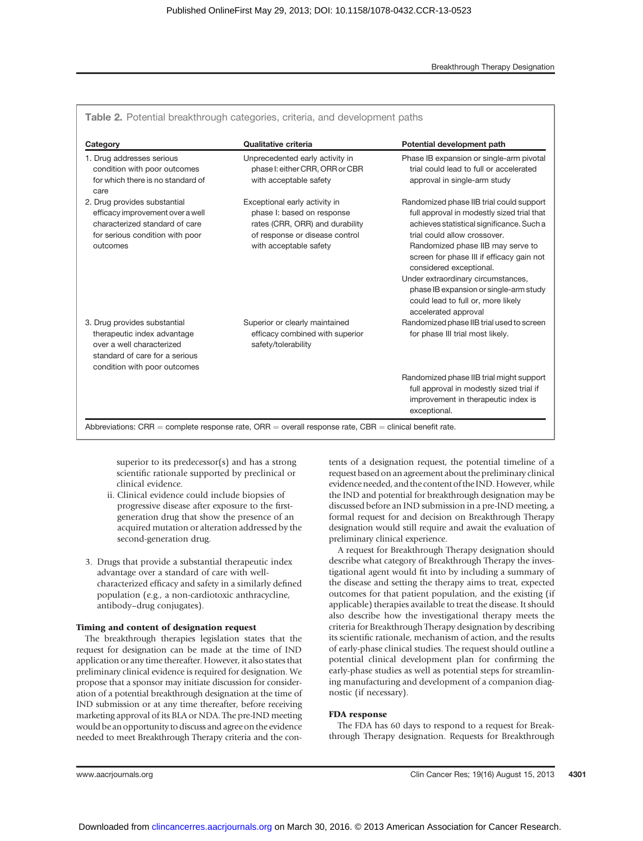| Category                                                                                                                                                   | Qualitative criteria                                                                                                                                       | Potential development path                                                                                                                                                                                                                                                                                                                                                                                                     |
|------------------------------------------------------------------------------------------------------------------------------------------------------------|------------------------------------------------------------------------------------------------------------------------------------------------------------|--------------------------------------------------------------------------------------------------------------------------------------------------------------------------------------------------------------------------------------------------------------------------------------------------------------------------------------------------------------------------------------------------------------------------------|
| 1. Drug addresses serious<br>condition with poor outcomes<br>for which there is no standard of<br>care                                                     | Unprecedented early activity in<br>phase I: either CRR, ORR or CBR<br>with acceptable safety                                                               | Phase IB expansion or single-arm pivotal<br>trial could lead to full or accelerated<br>approval in single-arm study                                                                                                                                                                                                                                                                                                            |
| 2. Drug provides substantial<br>efficacy improvement over a well<br>characterized standard of care<br>for serious condition with poor<br>outcomes          | Exceptional early activity in<br>phase I: based on response<br>rates (CRR, ORR) and durability<br>of response or disease control<br>with acceptable safety | Randomized phase IIB trial could support<br>full approval in modestly sized trial that<br>achieves statistical significance. Such a<br>trial could allow crossover.<br>Randomized phase IIB may serve to<br>screen for phase III if efficacy gain not<br>considered exceptional.<br>Under extraordinary circumstances,<br>phase IB expansion or single-arm study<br>could lead to full or, more likely<br>accelerated approval |
| 3. Drug provides substantial<br>therapeutic index advantage<br>over a well characterized<br>standard of care for a serious<br>condition with poor outcomes | Superior or clearly maintained<br>efficacy combined with superior<br>safety/tolerability                                                                   | Randomized phase IIB trial used to screen<br>for phase III trial most likely.                                                                                                                                                                                                                                                                                                                                                  |
|                                                                                                                                                            |                                                                                                                                                            | Randomized phase IIB trial might support<br>full approval in modestly sized trial if<br>improvement in therapeutic index is<br>exceptional.                                                                                                                                                                                                                                                                                    |

superior to its predecessor(s) and has a strong scientific rationale supported by preclinical or clinical evidence.

- ii. Clinical evidence could include biopsies of progressive disease after exposure to the firstgeneration drug that show the presence of an acquired mutation or alteration addressed by the second-generation drug.
- 3. Drugs that provide a substantial therapeutic index advantage over a standard of care with wellcharacterized efficacy and safety in a similarly defined population (e.g., a non-cardiotoxic anthracycline, antibody–drug conjugates).

#### Timing and content of designation request

The breakthrough therapies legislation states that the request for designation can be made at the time of IND application or any time thereafter. However, it also states that preliminary clinical evidence is required for designation. We propose that a sponsor may initiate discussion for consideration of a potential breakthrough designation at the time of IND submission or at any time thereafter, before receiving marketing approval of its BLA or NDA. The pre-IND meeting would be an opportunity to discuss and agree on the evidence needed to meet Breakthrough Therapy criteria and the contents of a designation request, the potential timeline of a request based on an agreement about the preliminary clinical evidence needed, and the content of the IND. However, while the IND and potential for breakthrough designation may be discussed before an IND submission in a pre-IND meeting, a formal request for and decision on Breakthrough Therapy designation would still require and await the evaluation of preliminary clinical experience.

A request for Breakthrough Therapy designation should describe what category of Breakthrough Therapy the investigational agent would fit into by including a summary of the disease and setting the therapy aims to treat, expected outcomes for that patient population, and the existing (if applicable) therapies available to treat the disease. It should also describe how the investigational therapy meets the criteria for Breakthrough Therapy designation by describing its scientific rationale, mechanism of action, and the results of early-phase clinical studies. The request should outline a potential clinical development plan for confirming the early-phase studies as well as potential steps for streamlining manufacturing and development of a companion diagnostic (if necessary).

#### FDA response

The FDA has 60 days to respond to a request for Breakthrough Therapy designation. Requests for Breakthrough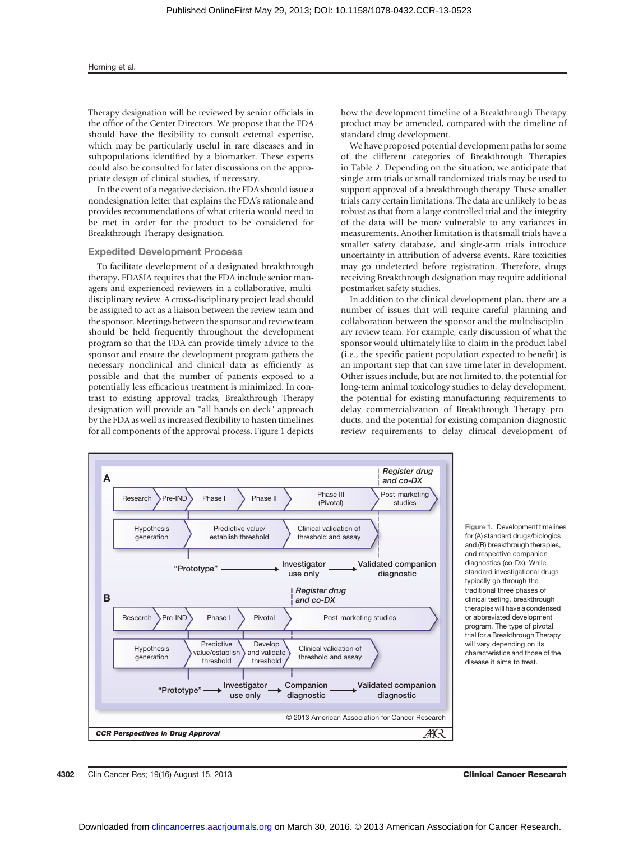Therapy designation will be reviewed by senior officials in the office of the Center Directors. We propose that the FDA should have the flexibility to consult external expertise, which may be particularly useful in rare diseases and in subpopulations identified by a biomarker. These experts could also be consulted for later discussions on the appropriate design of clinical studies, if necessary.

In the event of a negative decision, the FDA should issue a nondesignation letter that explains the FDA's rationale and provides recommendations of what criteria would need to be met in order for the product to be considered for Breakthrough Therapy designation.

#### Expedited Development Process

To facilitate development of a designated breakthrough therapy, FDASIA requires that the FDA include senior managers and experienced reviewers in a collaborative, multidisciplinary review. A cross-disciplinary project lead should be assigned to act as a liaison between the review team and the sponsor. Meetings between the sponsor and review team should be held frequently throughout the development program so that the FDA can provide timely advice to the sponsor and ensure the development program gathers the necessary nonclinical and clinical data as efficiently as possible and that the number of patients exposed to a potentially less efficacious treatment is minimized. In contrast to existing approval tracks, Breakthrough Therapy designation will provide an "all hands on deck" approach by the FDA as well as increased flexibility to hasten timelines for all components of the approval process. Figure 1 depicts how the development timeline of a Breakthrough Therapy product may be amended, compared with the timeline of standard drug development.

We have proposed potential development paths for some of the different categories of Breakthrough Therapies in Table 2. Depending on the situation, we anticipate that single-arm trials or small randomized trials may be used to support approval of a breakthrough therapy. These smaller trials carry certain limitations. The data are unlikely to be as robust as that from a large controlled trial and the integrity of the data will be more vulnerable to any variances in measurements. Another limitation is that small trials have a smaller safety database, and single-arm trials introduce uncertainty in attribution of adverse events. Rare toxicities may go undetected before registration. Therefore, drugs receiving Breakthrough designation may require additional postmarket safety studies.

In addition to the clinical development plan, there are a number of issues that will require careful planning and collaboration between the sponsor and the multidisciplinary review team. For example, early discussion of what the sponsor would ultimately like to claim in the product label (i.e., the specific patient population expected to benefit) is an important step that can save time later in development. Other issues include, but are not limited to, the potential for long-term animal toxicology studies to delay development, the potential for existing manufacturing requirements to delay commercialization of Breakthrough Therapy products, and the potential for existing companion diagnostic review requirements to delay clinical development of



Figure 1. Development timelines for (A) standard drugs/biologics and (B) breakthrough therapies and respective companion diagnostics (co-Dx). While standard investigational drugs typically go through the traditional three phases of clinical testing, breakthrough therapies will have a condensed or abbreviated development program. The type of pivotal trial for a Breakthrough Therapy will vary depending on its characteristics and those of the disease it aims to treat.

4302 Clin Cancer Res; 19(16) August 15, 2013 Clinical Cancer Research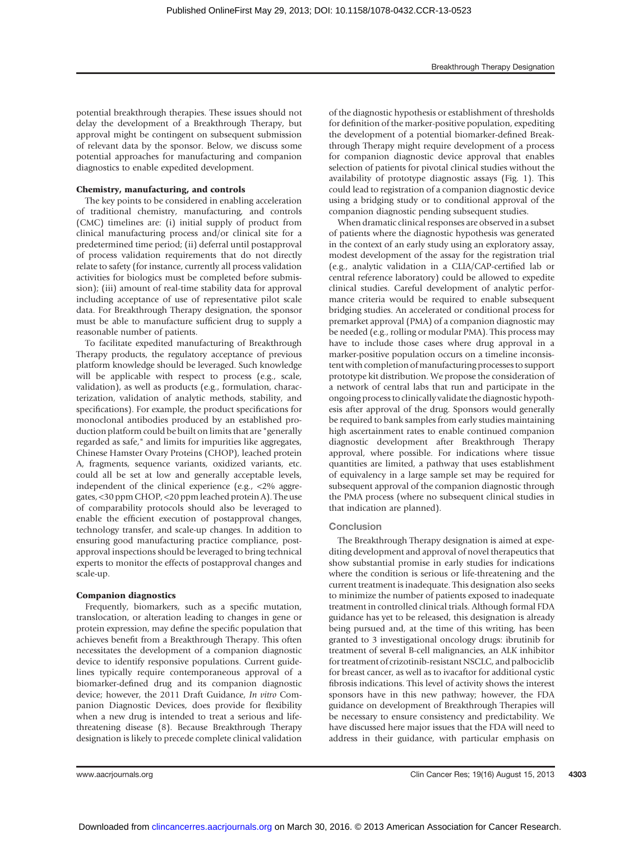potential breakthrough therapies. These issues should not delay the development of a Breakthrough Therapy, but approval might be contingent on subsequent submission of relevant data by the sponsor. Below, we discuss some potential approaches for manufacturing and companion diagnostics to enable expedited development.

#### Chemistry, manufacturing, and controls

The key points to be considered in enabling acceleration of traditional chemistry, manufacturing, and controls (CMC) timelines are: (i) initial supply of product from clinical manufacturing process and/or clinical site for a predetermined time period; (ii) deferral until postapproval of process validation requirements that do not directly relate to safety (for instance, currently all process validation activities for biologics must be completed before submission); (iii) amount of real-time stability data for approval including acceptance of use of representative pilot scale data. For Breakthrough Therapy designation, the sponsor must be able to manufacture sufficient drug to supply a reasonable number of patients.

To facilitate expedited manufacturing of Breakthrough Therapy products, the regulatory acceptance of previous platform knowledge should be leveraged. Such knowledge will be applicable with respect to process (e.g., scale, validation), as well as products (e.g., formulation, characterization, validation of analytic methods, stability, and specifications). For example, the product specifications for monoclonal antibodies produced by an established production platform could be built on limits that are "generally regarded as safe," and limits for impurities like aggregates, Chinese Hamster Ovary Proteins (CHOP), leached protein A, fragments, sequence variants, oxidized variants, etc. could all be set at low and generally acceptable levels, independent of the clinical experience (e.g., <2% aggregates, <30 ppm CHOP, <20 ppm leached protein A). The use of comparability protocols should also be leveraged to enable the efficient execution of postapproval changes, technology transfer, and scale-up changes. In addition to ensuring good manufacturing practice compliance, postapproval inspections should be leveraged to bring technical experts to monitor the effects of postapproval changes and scale-up.

#### Companion diagnostics

Frequently, biomarkers, such as a specific mutation, translocation, or alteration leading to changes in gene or protein expression, may define the specific population that achieves benefit from a Breakthrough Therapy. This often necessitates the development of a companion diagnostic device to identify responsive populations. Current guidelines typically require contemporaneous approval of a biomarker-defined drug and its companion diagnostic device; however, the 2011 Draft Guidance, In vitro Companion Diagnostic Devices, does provide for flexibility when a new drug is intended to treat a serious and lifethreatening disease (8). Because Breakthrough Therapy designation is likely to precede complete clinical validation

of the diagnostic hypothesis or establishment of thresholds for definition of the marker-positive population, expediting the development of a potential biomarker-defined Breakthrough Therapy might require development of a process for companion diagnostic device approval that enables selection of patients for pivotal clinical studies without the availability of prototype diagnostic assays (Fig. 1). This could lead to registration of a companion diagnostic device using a bridging study or to conditional approval of the companion diagnostic pending subsequent studies.

When dramatic clinical responses are observed in a subset of patients where the diagnostic hypothesis was generated in the context of an early study using an exploratory assay, modest development of the assay for the registration trial (e.g., analytic validation in a CLIA/CAP-certified lab or central reference laboratory) could be allowed to expedite clinical studies. Careful development of analytic performance criteria would be required to enable subsequent bridging studies. An accelerated or conditional process for premarket approval (PMA) of a companion diagnostic may be needed (e.g., rolling or modular PMA). This process may have to include those cases where drug approval in a marker-positive population occurs on a timeline inconsistent with completion of manufacturing processes to support prototype kit distribution. We propose the consideration of a network of central labs that run and participate in the ongoing process to clinically validate the diagnostic hypothesis after approval of the drug. Sponsors would generally be required to bank samples from early studies maintaining high ascertainment rates to enable continued companion diagnostic development after Breakthrough Therapy approval, where possible. For indications where tissue quantities are limited, a pathway that uses establishment of equivalency in a large sample set may be required for subsequent approval of the companion diagnostic through the PMA process (where no subsequent clinical studies in that indication are planned).

#### **Conclusion**

The Breakthrough Therapy designation is aimed at expediting development and approval of novel therapeutics that show substantial promise in early studies for indications where the condition is serious or life-threatening and the current treatment is inadequate. This designation also seeks to minimize the number of patients exposed to inadequate treatment in controlled clinical trials. Although formal FDA guidance has yet to be released, this designation is already being pursued and, at the time of this writing, has been granted to 3 investigational oncology drugs: ibrutinib for treatment of several B-cell malignancies, an ALK inhibitor for treatment of crizotinib-resistant NSCLC, and palbociclib for breast cancer, as well as to ivacaftor for additional cystic fibrosis indications. This level of activity shows the interest sponsors have in this new pathway; however, the FDA guidance on development of Breakthrough Therapies will be necessary to ensure consistency and predictability. We have discussed here major issues that the FDA will need to address in their guidance, with particular emphasis on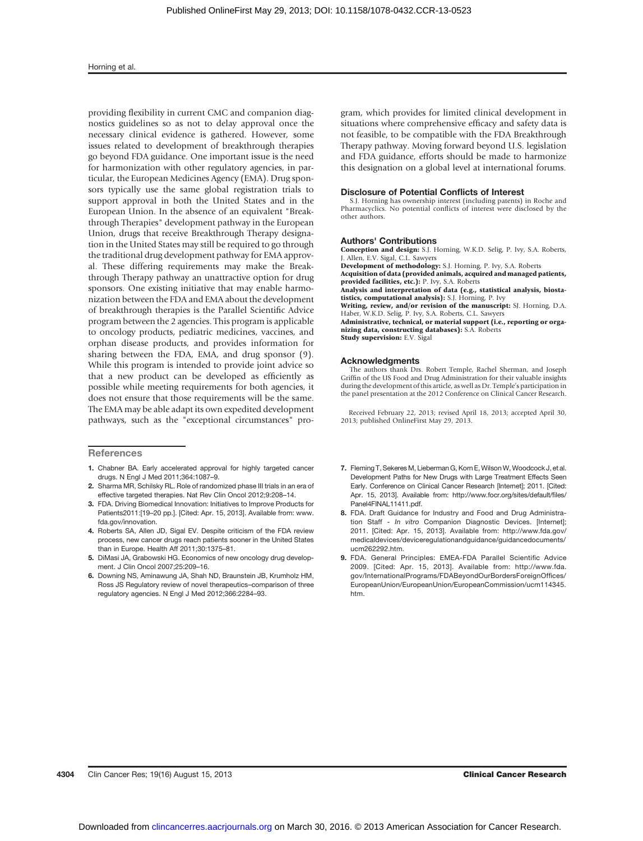#### Horning et al.

providing flexibility in current CMC and companion diagnostics guidelines so as not to delay approval once the necessary clinical evidence is gathered. However, some issues related to development of breakthrough therapies go beyond FDA guidance. One important issue is the need for harmonization with other regulatory agencies, in particular, the European Medicines Agency (EMA). Drug sponsors typically use the same global registration trials to support approval in both the United States and in the European Union. In the absence of an equivalent "Breakthrough Therapies" development pathway in the European Union, drugs that receive Breakthrough Therapy designation in the United States may still be required to go through the traditional drug development pathway for EMA approval. These differing requirements may make the Breakthrough Therapy pathway an unattractive option for drug sponsors. One existing initiative that may enable harmonization between the FDA and EMA about the development of breakthrough therapies is the Parallel Scientific Advice program between the 2 agencies. This program is applicable to oncology products, pediatric medicines, vaccines, and orphan disease products, and provides information for sharing between the FDA, EMA, and drug sponsor (9). While this program is intended to provide joint advice so that a new product can be developed as efficiently as possible while meeting requirements for both agencies, it does not ensure that those requirements will be the same. The EMA may be able adapt its own expedited development pathways, such as the "exceptional circumstances" pro-

#### **References**

- 1. Chabner BA. Early accelerated approval for highly targeted cancer drugs. N Engl J Med 2011;364:1087–9.
- 2. Sharma MR, Schilsky RL. Role of randomized phase III trials in an era of effective targeted therapies. Nat Rev Clin Oncol 2012;9:208–14.
- 3. FDA. Driving Biomedical Innovation: Initiatives to Improve Products for Patients2011:[19-20 pp.]. [Cited: Apr. 15, 2013]. Available from: www. fda.gov/innovation.
- 4. Roberts SA, Allen JD, Sigal EV. Despite criticism of the FDA review process, new cancer drugs reach patients sooner in the United States than in Europe. Health Aff 2011;30:1375–81.
- 5. DiMasi JA, Grabowski HG. Economics of new oncology drug development. J Clin Oncol 2007;25:209–16.
- 6. Downing NS, Aminawung JA, Shah ND, Braunstein JB, Krumholz HM, Ross JS Regulatory review of novel therapeutics–comparison of three regulatory agencies. N Engl J Med 2012;366:2284–93.

gram, which provides for limited clinical development in situations where comprehensive efficacy and safety data is not feasible, to be compatible with the FDA Breakthrough Therapy pathway. Moving forward beyond U.S. legislation and FDA guidance, efforts should be made to harmonize this designation on a global level at international forums.

#### Disclosure of Potential Conflicts of Interest

S.J. Horning has ownership interest (including patents) in Roche and Pharmacyclics. No potential conflicts of interest were disclosed by the other authors.

#### Authors' Contributions

Conception and design: S.J. Horning, W.K.D. Selig, P. Ivy, S.A. Roberts, J. Allen, E.V. Sigal, C.L. Sawyers

Development of methodology: S.J. Horning, P. Ivy, S.A. Roberts Acquisition of data (provided animals, acquired and managed patients,

provided facilities, etc.): P. Ivy, S.A. Roberts Analysis and interpretation of data (e.g., statistical analysis, biosta-

tistics, computational analysis): S.J. Horning, P. Ivy Writing, review, and/or revision of the manuscript: SJ. Horning, D.A. Haber, W.K.D. Selig, P. Ivy, S.A. Roberts, C.L. Sawyers

Administrative, technical, or material support (i.e., reporting or organizing data, constructing databases): S.A. Roberts

Study supervision: E.V. Sigal

#### Acknowledgments

The authors thank Drs. Robert Temple, Rachel Sherman, and Joseph Griffin of the US Food and Drug Administration for their valuable insights during the development of this article, as well as Dr. Temple's participation in the panel presentation at the 2012 Conference on Clinical Cancer Research.

Received February 22, 2013; revised April 18, 2013; accepted April 30, 2013; published OnlineFirst May 29, 2013.

- 7. Fleming T, Sekeres M, Lieberman G, Korn E, Wilson W, Woodcock J, et al. Development Paths for New Drugs with Large Treatment Effects Seen Early. Conference on Clinical Cancer Research [Internet]; 2011. [Cited: Apr. 15, 2013]. Available from: http://www.focr.org/sites/default/files/ Panel4FINAL11411.pdf.
- 8. FDA. Draft Guidance for Industry and Food and Drug Administration Staff - In vitro Companion Diagnostic Devices. [Internet]; 2011. [Cited: Apr. 15, 2013]. Available from: http://www.fda.gov/ medicaldevices/deviceregulationandguidance/guidancedocuments/ ucm262292.htm.
- 9. FDA. General Principles: EMEA-FDA Parallel Scientific Advice 2009. [Cited: Apr. 15, 2013]. Available from: http://www.fda. gov/InternationalPrograms/FDABeyondOurBordersForeignOffices/ EuropeanUnion/EuropeanUnion/EuropeanCommission/ucm114345. htm.